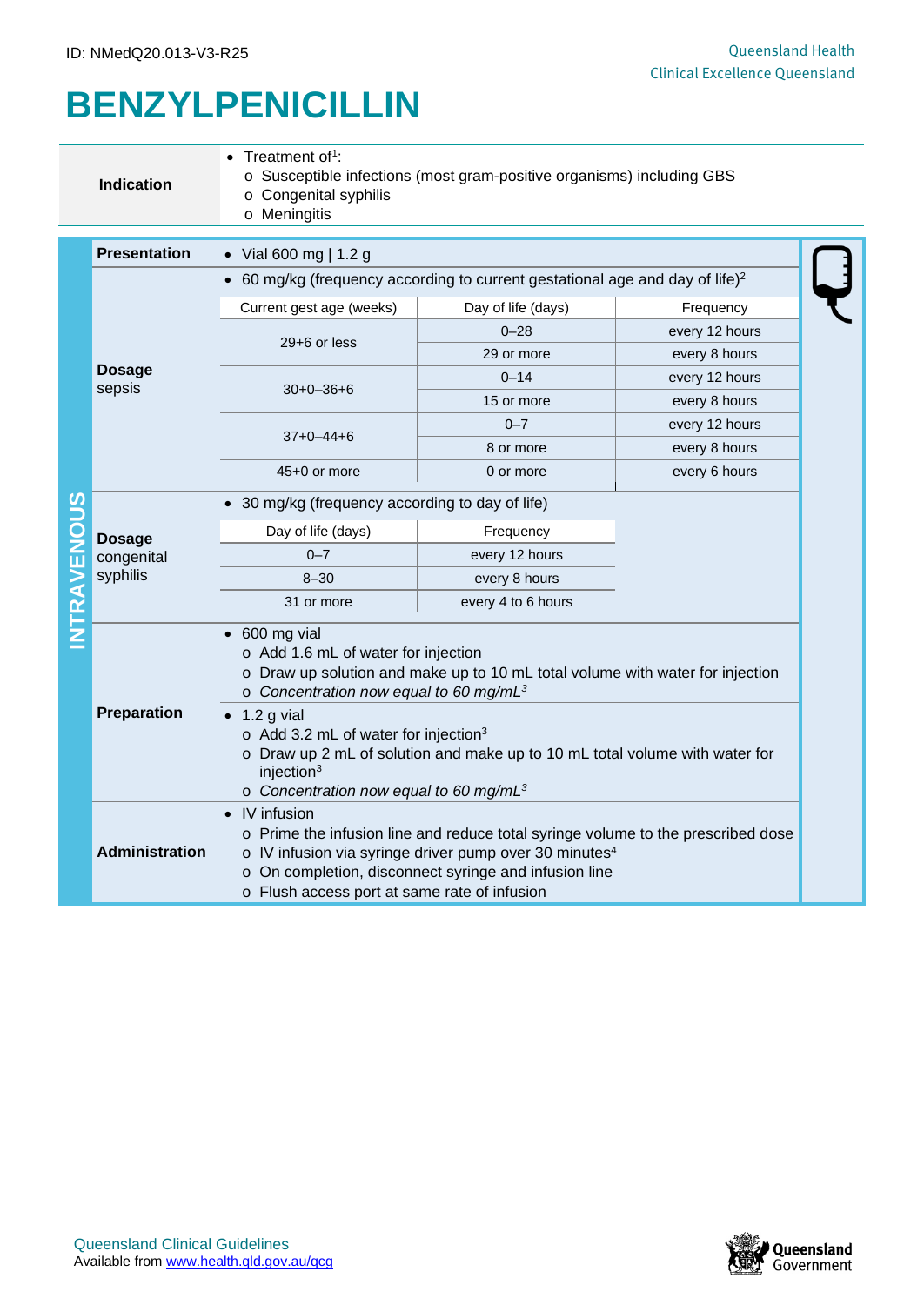## **BENZYLPENICILLIN**

|                    | <b>Indication</b>                       | Treatment of <sup>1</sup> :<br>o Susceptible infections (most gram-positive organisms) including GBS<br>o Congenital syphilis<br>o Meningitis                                                                                                                                                                                                                                                                                                              |                    |                |  |  |
|--------------------|-----------------------------------------|------------------------------------------------------------------------------------------------------------------------------------------------------------------------------------------------------------------------------------------------------------------------------------------------------------------------------------------------------------------------------------------------------------------------------------------------------------|--------------------|----------------|--|--|
|                    | <b>Presentation</b>                     | • Vial 600 mg   1.2 g                                                                                                                                                                                                                                                                                                                                                                                                                                      |                    |                |  |  |
|                    | <b>Dosage</b><br>sepsis                 | 60 mg/kg (frequency according to current gestational age and day of life) $2$                                                                                                                                                                                                                                                                                                                                                                              |                    |                |  |  |
|                    |                                         | Current gest age (weeks)                                                                                                                                                                                                                                                                                                                                                                                                                                   | Day of life (days) | Frequency      |  |  |
|                    |                                         | 29+6 or less                                                                                                                                                                                                                                                                                                                                                                                                                                               | $0 - 28$           | every 12 hours |  |  |
|                    |                                         |                                                                                                                                                                                                                                                                                                                                                                                                                                                            | 29 or more         | every 8 hours  |  |  |
|                    |                                         | $30+0-36+6$                                                                                                                                                                                                                                                                                                                                                                                                                                                | $0 - 14$           | every 12 hours |  |  |
|                    |                                         |                                                                                                                                                                                                                                                                                                                                                                                                                                                            | 15 or more         | every 8 hours  |  |  |
|                    |                                         | $37+0-44+6$                                                                                                                                                                                                                                                                                                                                                                                                                                                | $0 - 7$            | every 12 hours |  |  |
|                    |                                         |                                                                                                                                                                                                                                                                                                                                                                                                                                                            | 8 or more          | every 8 hours  |  |  |
|                    |                                         | 45+0 or more                                                                                                                                                                                                                                                                                                                                                                                                                                               | 0 or more          | every 6 hours  |  |  |
|                    | <b>Dosage</b><br>congenital<br>syphilis | • 30 mg/kg (frequency according to day of life)                                                                                                                                                                                                                                                                                                                                                                                                            |                    |                |  |  |
|                    |                                         | Day of life (days)                                                                                                                                                                                                                                                                                                                                                                                                                                         | Frequency          |                |  |  |
|                    |                                         | $0 - 7$                                                                                                                                                                                                                                                                                                                                                                                                                                                    | every 12 hours     |                |  |  |
|                    |                                         | $8 - 30$                                                                                                                                                                                                                                                                                                                                                                                                                                                   | every 8 hours      |                |  |  |
| <b>INTRAVENOUS</b> |                                         | 31 or more                                                                                                                                                                                                                                                                                                                                                                                                                                                 | every 4 to 6 hours |                |  |  |
|                    | Preparation                             | $\bullet$ 600 mg vial<br>o Add 1.6 mL of water for injection<br>o Draw up solution and make up to 10 mL total volume with water for injection<br>$\circ$ Concentration now equal to 60 mg/mL <sup>3</sup><br>$\bullet$ 1.2 g vial<br>o Add 3.2 mL of water for injection <sup>3</sup><br>o Draw up 2 mL of solution and make up to 10 mL total volume with water for<br>injection <sup>3</sup><br>$\circ$ Concentration now equal to 60 mg/mL <sup>3</sup> |                    |                |  |  |
|                    | <b>Administration</b>                   | • IV infusion<br>o Prime the infusion line and reduce total syringe volume to the prescribed dose<br>o IV infusion via syringe driver pump over 30 minutes <sup>4</sup><br>o On completion, disconnect syringe and infusion line<br>o Flush access port at same rate of infusion                                                                                                                                                                           |                    |                |  |  |

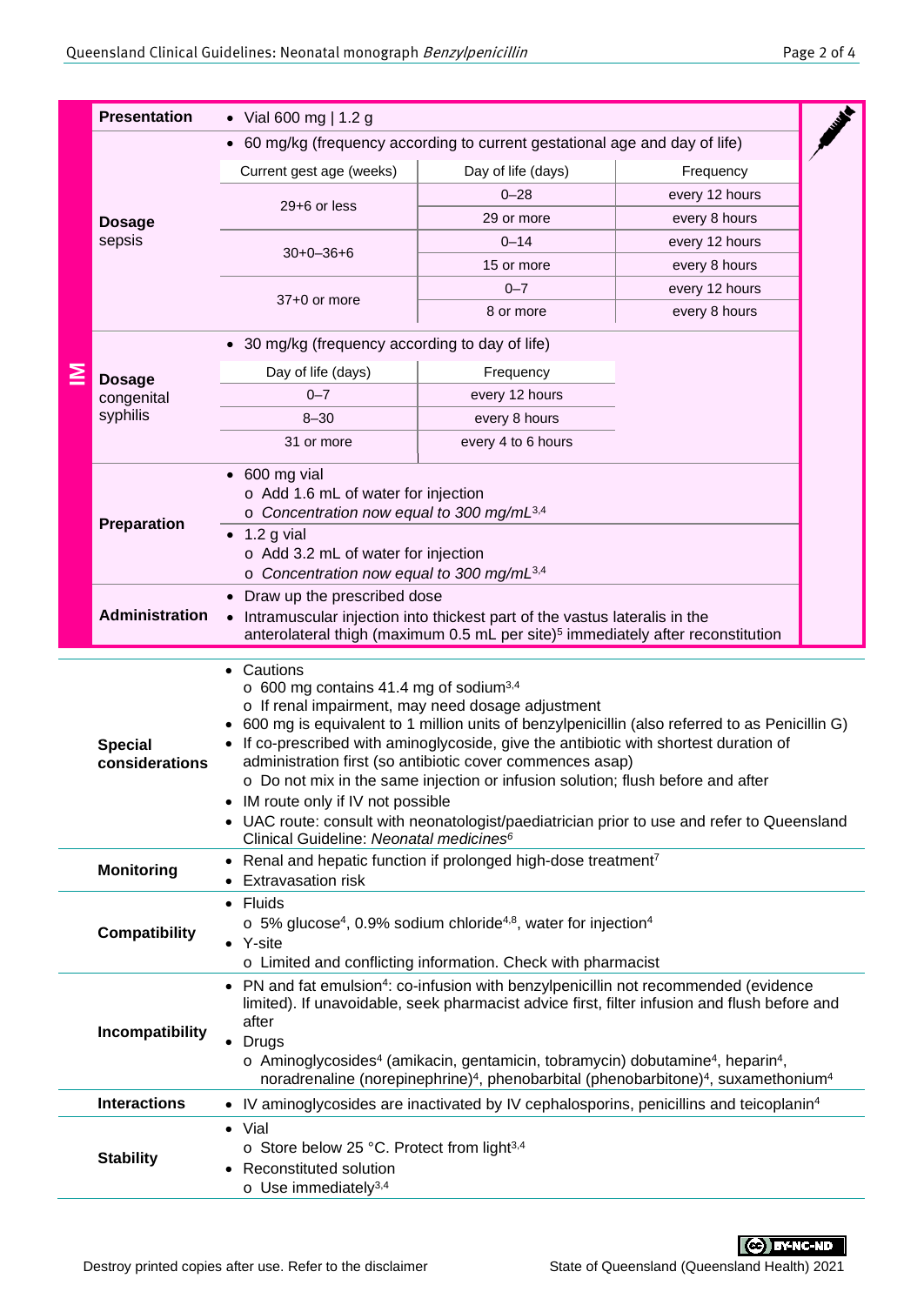|   | <b>Presentation</b>                                                                                                                                                                                                              | • Vial 600 mg   1.2 g                                                                                                                                                                                                                                                                                                                                                                                                                                                                                                                                                                                                                                 |                                                                                                     |                |  |  |
|---|----------------------------------------------------------------------------------------------------------------------------------------------------------------------------------------------------------------------------------|-------------------------------------------------------------------------------------------------------------------------------------------------------------------------------------------------------------------------------------------------------------------------------------------------------------------------------------------------------------------------------------------------------------------------------------------------------------------------------------------------------------------------------------------------------------------------------------------------------------------------------------------------------|-----------------------------------------------------------------------------------------------------|----------------|--|--|
|   |                                                                                                                                                                                                                                  | • 60 mg/kg (frequency according to current gestational age and day of life)                                                                                                                                                                                                                                                                                                                                                                                                                                                                                                                                                                           |                                                                                                     |                |  |  |
|   |                                                                                                                                                                                                                                  | Current gest age (weeks)                                                                                                                                                                                                                                                                                                                                                                                                                                                                                                                                                                                                                              | Day of life (days)<br>Frequency                                                                     |                |  |  |
|   | <b>Dosage</b><br>sepsis                                                                                                                                                                                                          |                                                                                                                                                                                                                                                                                                                                                                                                                                                                                                                                                                                                                                                       | $0 - 28$                                                                                            | every 12 hours |  |  |
|   |                                                                                                                                                                                                                                  | 29+6 or less                                                                                                                                                                                                                                                                                                                                                                                                                                                                                                                                                                                                                                          | 29 or more                                                                                          | every 8 hours  |  |  |
|   |                                                                                                                                                                                                                                  | $30+0-36+6$                                                                                                                                                                                                                                                                                                                                                                                                                                                                                                                                                                                                                                           | $0 - 14$                                                                                            | every 12 hours |  |  |
|   |                                                                                                                                                                                                                                  |                                                                                                                                                                                                                                                                                                                                                                                                                                                                                                                                                                                                                                                       | 15 or more                                                                                          | every 8 hours  |  |  |
|   |                                                                                                                                                                                                                                  | 37+0 or more                                                                                                                                                                                                                                                                                                                                                                                                                                                                                                                                                                                                                                          | $0 - 7$                                                                                             | every 12 hours |  |  |
|   |                                                                                                                                                                                                                                  |                                                                                                                                                                                                                                                                                                                                                                                                                                                                                                                                                                                                                                                       | 8 or more                                                                                           | every 8 hours  |  |  |
| ≧ | <b>Dosage</b><br>congenital                                                                                                                                                                                                      | • 30 mg/kg (frequency according to day of life)                                                                                                                                                                                                                                                                                                                                                                                                                                                                                                                                                                                                       |                                                                                                     |                |  |  |
|   |                                                                                                                                                                                                                                  | Day of life (days)<br>Frequency                                                                                                                                                                                                                                                                                                                                                                                                                                                                                                                                                                                                                       |                                                                                                     |                |  |  |
|   |                                                                                                                                                                                                                                  | $0 - 7$                                                                                                                                                                                                                                                                                                                                                                                                                                                                                                                                                                                                                                               | every 12 hours                                                                                      |                |  |  |
|   | syphilis                                                                                                                                                                                                                         | $8 - 30$                                                                                                                                                                                                                                                                                                                                                                                                                                                                                                                                                                                                                                              | every 8 hours                                                                                       |                |  |  |
|   |                                                                                                                                                                                                                                  | 31 or more                                                                                                                                                                                                                                                                                                                                                                                                                                                                                                                                                                                                                                            | every 4 to 6 hours                                                                                  |                |  |  |
|   | Preparation                                                                                                                                                                                                                      | $\bullet$ 600 mg vial<br>o Add 1.6 mL of water for injection<br>o Concentration now equal to 300 mg/mL <sup>3,4</sup><br>1.2 g vial<br>o Add 3.2 mL of water for injection<br>o Concentration now equal to 300 mg/mL <sup>3,4</sup>                                                                                                                                                                                                                                                                                                                                                                                                                   |                                                                                                     |                |  |  |
|   | Draw up the prescribed dose<br><b>Administration</b><br>Intramuscular injection into thickest part of the vastus lateralis in the<br>anterolateral thigh (maximum 0.5 mL per site) <sup>5</sup> immediately after reconstitution |                                                                                                                                                                                                                                                                                                                                                                                                                                                                                                                                                                                                                                                       |                                                                                                     |                |  |  |
|   | <b>Special</b><br>considerations                                                                                                                                                                                                 | Cautions<br>o 600 mg contains 41.4 mg of sodium <sup>3,4</sup><br>o If renal impairment, may need dosage adjustment<br>600 mg is equivalent to 1 million units of benzylpenicillin (also referred to as Penicillin G)<br>If co-prescribed with aminoglycoside, give the antibiotic with shortest duration of<br>administration first (so antibiotic cover commences asap)<br>o Do not mix in the same injection or infusion solution; flush before and after<br>• IM route only if IV not possible<br>UAC route: consult with neonatologist/paediatrician prior to use and refer to Queensland<br>Clinical Guideline: Neonatal medicines <sup>6</sup> |                                                                                                     |                |  |  |
|   | <b>Monitoring</b>                                                                                                                                                                                                                | Renal and hepatic function if prolonged high-dose treatment7<br>$\bullet$<br><b>Extravasation risk</b>                                                                                                                                                                                                                                                                                                                                                                                                                                                                                                                                                |                                                                                                     |                |  |  |
|   | <b>Compatibility</b>                                                                                                                                                                                                             | Fluids<br>$\circ$ 5% glucose <sup>4</sup> , 0.9% sodium chloride <sup>4,8</sup> , water for injection <sup>4</sup><br>$\bullet$ Y-site<br>o Limited and conflicting information. Check with pharmacist                                                                                                                                                                                                                                                                                                                                                                                                                                                |                                                                                                     |                |  |  |
|   | Incompatibility                                                                                                                                                                                                                  | • PN and fat emulsion <sup>4</sup> : co-infusion with benzylpenicillin not recommended (evidence<br>limited). If unavoidable, seek pharmacist advice first, filter infusion and flush before and<br>after<br>• Drugs<br>$\circ$ Aminoglycosides <sup>4</sup> (amikacin, gentamicin, tobramycin) dobutamine <sup>4</sup> , heparin <sup>4</sup> ,<br>noradrenaline (norepinephrine) <sup>4</sup> , phenobarbital (phenobarbitone) <sup>4</sup> , suxamethonium <sup>4</sup>                                                                                                                                                                            |                                                                                                     |                |  |  |
|   | <b>Interactions</b>                                                                                                                                                                                                              |                                                                                                                                                                                                                                                                                                                                                                                                                                                                                                                                                                                                                                                       | • IV aminoglycosides are inactivated by IV cephalosporins, penicillins and teicoplanin <sup>4</sup> |                |  |  |
|   | <b>Stability</b>                                                                                                                                                                                                                 | $\bullet$ Vial<br>○ Store below 25 °C. Protect from light <sup>3,4</sup><br>Reconstituted solution<br>$\circ$ Use immediately <sup>3,4</sup>                                                                                                                                                                                                                                                                                                                                                                                                                                                                                                          |                                                                                                     |                |  |  |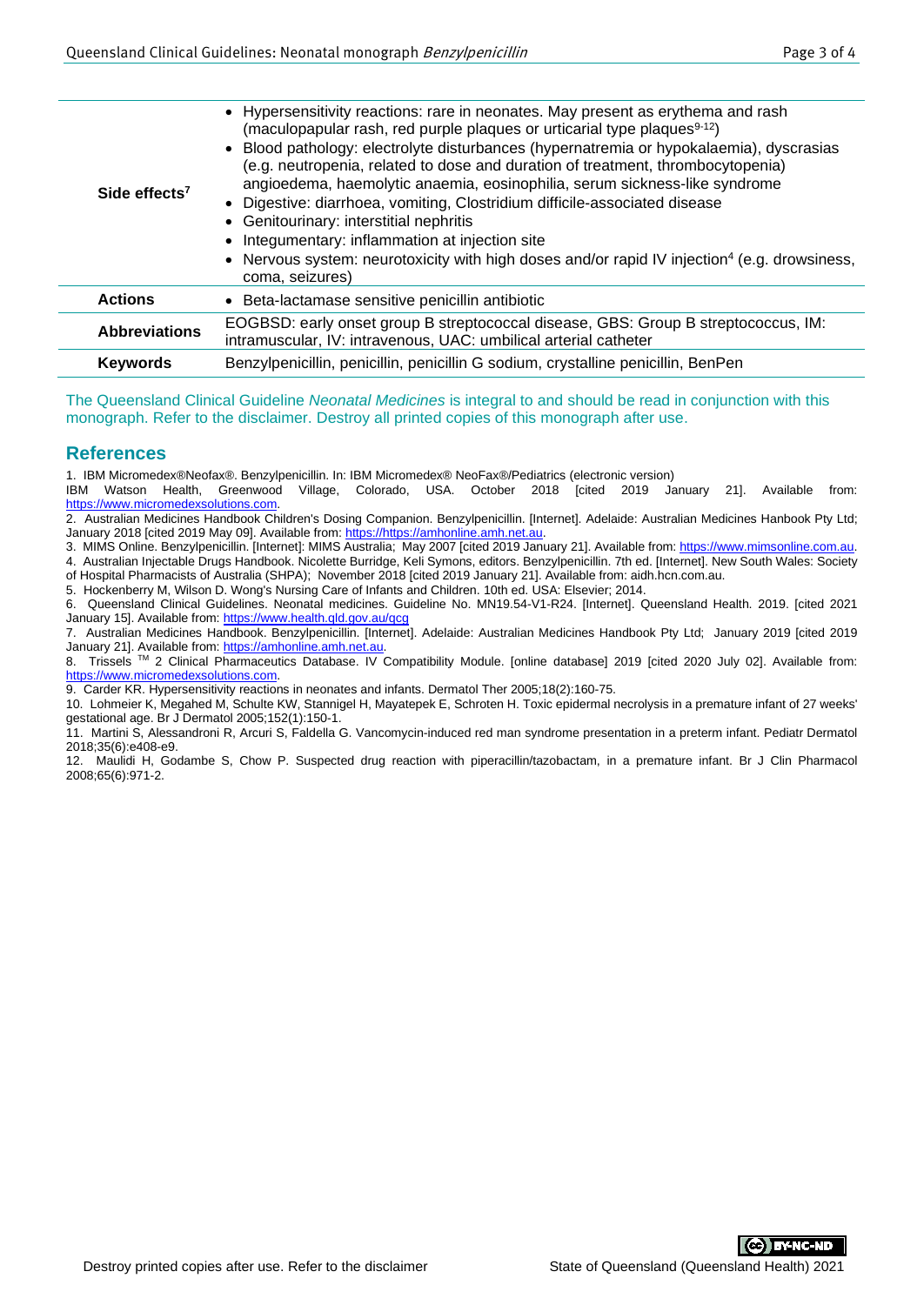| Side effects <sup>7</sup> | • Hypersensitivity reactions: rare in neonates. May present as erythema and rash<br>(maculopapular rash, red purple plaques or urticarial type plaques <sup>9-12</sup> )<br>• Blood pathology: electrolyte disturbances (hypernatremia or hypokalaemia), dyscrasias<br>(e.g. neutropenia, related to dose and duration of treatment, thrombocytopenia)<br>angioedema, haemolytic anaemia, eosinophilia, serum sickness-like syndrome<br>• Digestive: diarrhoea, vomiting, Clostridium difficile-associated disease<br>• Genitourinary: interstitial nephritis<br>• Integumentary: inflammation at injection site<br>• Nervous system: neurotoxicity with high doses and/or rapid IV injection <sup>4</sup> (e.g. drowsiness,<br>coma, seizures) |  |
|---------------------------|-------------------------------------------------------------------------------------------------------------------------------------------------------------------------------------------------------------------------------------------------------------------------------------------------------------------------------------------------------------------------------------------------------------------------------------------------------------------------------------------------------------------------------------------------------------------------------------------------------------------------------------------------------------------------------------------------------------------------------------------------|--|
| <b>Actions</b>            | • Beta-lactamase sensitive penicillin antibiotic                                                                                                                                                                                                                                                                                                                                                                                                                                                                                                                                                                                                                                                                                                |  |
| <b>Abbreviations</b>      | EOGBSD: early onset group B streptococcal disease, GBS: Group B streptococcus, IM:<br>intramuscular, IV: intravenous, UAC: umbilical arterial catheter                                                                                                                                                                                                                                                                                                                                                                                                                                                                                                                                                                                          |  |
| <b>Keywords</b>           | Benzylpenicillin, penicillin, penicillin G sodium, crystalline penicillin, BenPen                                                                                                                                                                                                                                                                                                                                                                                                                                                                                                                                                                                                                                                               |  |
|                           |                                                                                                                                                                                                                                                                                                                                                                                                                                                                                                                                                                                                                                                                                                                                                 |  |

The Queensland Clinical Guideline *Neonatal Medicines* is integral to and should be read in conjunction with this monograph. Refer to the disclaimer. Destroy all printed copies of this monograph after use.

## **References**

1. IBM Micromedex®Neofax®. Benzylpenicillin. In: IBM Micromedex® NeoFax®/Pediatrics (electronic version)<br>IBM Watson Health, Greenwood Village, Colorado, USA. October 2018 [cited 2019 Ja

Village, Colorado, USA. October 2018 [cited 2019 January 21]. Available from: [https://www.micromedexsolutions.com.](https://www.micromedexsolutions.com/)

2. Australian Medicines Handbook Children's Dosing Companion. Benzylpenicillin. [Internet]. Adelaide: Australian Medicines Hanbook Pty Ltd; January 2018 [cited 2019 May 09]. Available from[: https://https://amhonline.amh.net.au.](https://https/amhonline.amh.net.au)

3. MIMS Online. Benzylpenicillin. [Internet]: MIMS Australia; May 2007 [cited 2019 January 21]. Available from[: https://www.mimsonline.com.au.](https://www.mimsonline.com.au/)

4. Australian Injectable Drugs Handbook. Nicolette Burridge, Keli Symons, editors. Benzylpenicillin. 7th ed. [Internet]. New South Wales: Society

of Hospital Pharmacists of Australia (SHPA); November 2018 [cited 2019 January 21]. Available from: aidh.hcn.com.au. 5. Hockenberry M, Wilson D. Wong's Nursing Care of Infants and Children. 10th ed. USA: Elsevier; 2014.

6. Queensland Clinical Guidelines. Neonatal medicines. Guideline No. MN19.54-V1-R24. [Internet]. Queensland Health. 2019. [cited 2021 January 15]. Available from:<https://www.health.qld.gov.au/qcg>

7. Australian Medicines Handbook. Benzylpenicillin. [Internet]. Adelaide: Australian Medicines Handbook Pty Ltd; January 2019 [cited 2019 January 21]. Available from: [https://amhonline.amh.net.au.](https://amhonline.amh.net.au/)

8. Trissels ™ 2 Clinical Pharmaceutics Database. IV Compatibility Module. [online database] 2019 [cited 2020 July 02]. Available from: [https://www.micromedexsolutions.com.](https://www.micromedexsolutions.com/)

9. Carder KR. Hypersensitivity reactions in neonates and infants. Dermatol Ther 2005;18(2):160-75.

10. Lohmeier K, Megahed M, Schulte KW, Stannigel H, Mayatepek E, Schroten H. Toxic epidermal necrolysis in a premature infant of 27 weeks' gestational age. Br J Dermatol 2005;152(1):150-1.

11. Martini S, Alessandroni R, Arcuri S, Faldella G. Vancomycin-induced red man syndrome presentation in a preterm infant. Pediatr Dermatol 2018;35(6):e408-e9.

12. Maulidi H, Godambe S, Chow P. Suspected drug reaction with piperacillin/tazobactam, in a premature infant. Br J Clin Pharmacol 2008;65(6):971-2.